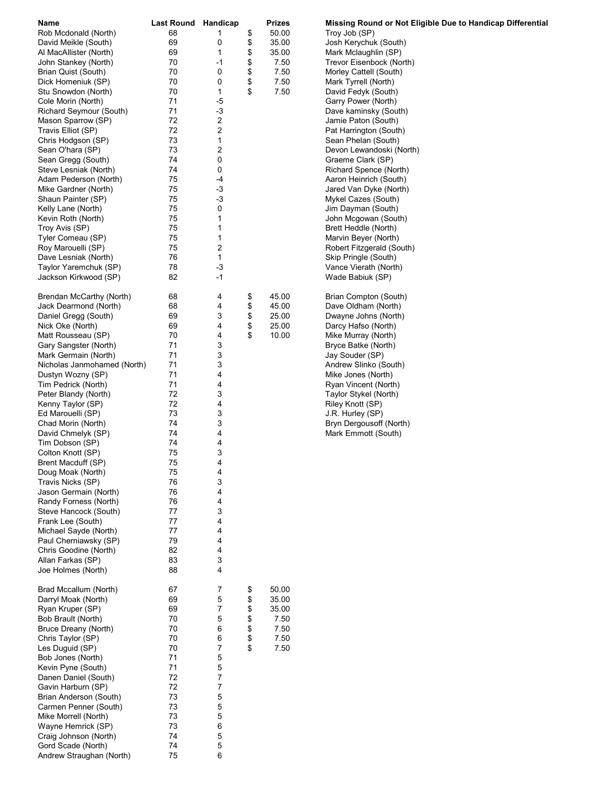| Name                                         | <b>Last Round Handicap</b> |        |          | Prizes         | Missing Round or Not Eligible Due to Handicap Differential |
|----------------------------------------------|----------------------------|--------|----------|----------------|------------------------------------------------------------|
| Rob Mcdonald (North)                         | 68                         | 1      | \$       | 50.00          | Troy Job (SP)                                              |
| David Meikle (South)                         | 69                         | 0      | \$       | 35.00          | Josh Kerychuk (South)                                      |
| Al MacAllister (North)                       | 69                         | 1      | \$       | 35.00          | Mark Mclaughlin (SP)                                       |
| John Stankey (North)                         | 70                         | -1     | \$       | 7.50           | Trevor Eisenbock (North)                                   |
| Brian Quist (South)                          | 70                         | 0      | \$       | 7.50           | Morley Cattell (South)                                     |
| Dick Homeniuk (SP)                           | 70                         | 0      | \$       | 7.50           | Mark Tyrrell (North)                                       |
| Stu Snowdon (North)                          | 70                         | 1      | \$       | 7.50           | David Fedyk (South)                                        |
| Cole Morin (North)                           | 71                         | $-5$   |          |                | Garry Power (North)                                        |
| Richard Seymour (South)                      | 71                         | $-3$   |          |                | Dave kaminsky (South)                                      |
| Mason Sparrow (SP)                           | 72                         | 2      |          |                | Jamie Paton (South)                                        |
| Travis Elliot (SP)                           | 72                         | 2      |          |                | Pat Harrington (South)                                     |
| Chris Hodgson (SP)                           | 73                         | 1      |          |                | Sean Phelan (South)                                        |
| Sean O'hara (SP)                             | 73                         | 2      |          |                | Devon Lewandoski (North)                                   |
| Sean Gregg (South)                           | 74                         | 0      |          |                | Graeme Clark (SP)                                          |
| Steve Lesniak (North)                        | 74                         | 0      |          |                | Richard Spence (North)                                     |
| Adam Pederson (North)                        | 75                         | -4     |          |                | Aaron Heinrich (South)                                     |
| Mike Gardner (North)                         | 75                         | -3     |          |                | Jared Van Dyke (North)                                     |
| Shaun Painter (SP)                           | 75                         | -3     |          |                | Mykel Cazes (South)                                        |
| Kelly Lane (North)                           | 75                         | 0      |          |                | Jim Dayman (South)                                         |
| Kevin Roth (North)                           | 75                         | 1      |          |                | John Mcgowan (South)                                       |
| Troy Avis (SP)                               | 75                         | 1      |          |                | Brett Heddle (North)                                       |
| Tyler Comeau (SP)                            | 75                         | 1      |          |                | Marvin Beyer (North)                                       |
| Roy Marouelli (SP)                           | 75                         | 2      |          |                | Robert Fitzgerald (South)                                  |
|                                              |                            |        |          |                |                                                            |
| Dave Lesniak (North)                         | 76                         | 1      |          |                | Skip Pringle (South)                                       |
| Taylor Yaremchuk (SP)                        | 78                         | $-3$   |          |                | Vance Vierath (North)                                      |
| Jackson Kirkwood (SP)                        | 82                         | -1     |          |                | Wade Babiuk (SP)                                           |
| Brendan McCarthy (North)                     | 68                         | 4      | \$       | 45.00          | Brian Compton (South)                                      |
| Jack Dearmond (North)                        | 68                         | 4      | \$       | 45.00          | Dave Oldham (North)                                        |
| Daniel Gregg (South)                         | 69                         | 3      | \$       | 25.00          | Dwayne Johns (North)                                       |
| Nick Oke (North)                             | 69                         | 4      | \$       | 25.00          | Darcy Hafso (North)                                        |
|                                              | 70                         | 4      | \$       |                |                                                            |
| Matt Rousseau (SP)                           |                            |        |          | 10.00          | Mike Murray (North)                                        |
| Gary Sangster (North)                        | 71<br>71                   | 3      |          |                | Bryce Batke (North)                                        |
| Mark Germain (North)                         |                            | 3      |          |                | Jay Souder (SP)                                            |
| Nicholas Janmohamed (North)                  | 71<br>71                   | 3      |          |                | Andrew Slinko (South)                                      |
| Dustyn Wozny (SP)                            |                            | 4      |          |                | Mike Jones (North)                                         |
| Tim Pedrick (North)                          | 71                         | 4      |          |                | Ryan Vincent (North)                                       |
| Peter Blandy (North)                         | 72                         | 3      |          |                | Taylor Stykel (North)                                      |
| Kenny Taylor (SP)                            | 72                         | 4      |          |                | Riley Knott (SP)                                           |
| Ed Marouelli (SP)                            | 73                         | 3      |          |                | J.R. Hurley (SP)                                           |
| Chad Morin (North)                           | 74                         | 3      |          |                | Bryn Dergousoff (North)                                    |
| David Chmelyk (SP)                           | 74                         | 4      |          |                | Mark Emmott (South)                                        |
| Tim Dobson (SP)                              | 74                         | 4      |          |                |                                                            |
| Colton Knott (SP)                            | 75                         | 3      |          |                |                                                            |
| Brent Macduff (SP)                           | 75                         | 4      |          |                |                                                            |
| Doug Moak (North)                            | 75                         | 4      |          |                |                                                            |
| Travis Nicks (SP)                            | 76                         | 3      |          |                |                                                            |
| Jason Germain (North)                        | 76                         | 4      |          |                |                                                            |
| Randy Forness (North)                        | 76                         | 4      |          |                |                                                            |
| Steve Hancock (South)                        | 77                         | 3      |          |                |                                                            |
| Frank Lee (South)                            | 77                         | 4      |          |                |                                                            |
| Michael Sayde (North)                        | 77                         | 4      |          |                |                                                            |
| Paul Cherniawsky (SP)                        | 79                         | 4      |          |                |                                                            |
| Chris Goodine (North)                        | 82                         | 4      |          |                |                                                            |
| Allan Farkas (SP)                            | 83                         | 3      |          |                |                                                            |
| Joe Holmes (North)                           | 88                         | 4      |          |                |                                                            |
|                                              |                            |        |          |                |                                                            |
| Brad Mccallum (North)<br>Darryl Moak (North) | 67<br>69                   | 7<br>5 | \$<br>\$ | 50.00<br>35.00 |                                                            |
|                                              |                            |        |          |                |                                                            |
| Ryan Kruper (SP)                             | 69<br>70                   | 7      | \$       | 35.00          |                                                            |
| Bob Brault (North)                           |                            | 5      | \$       | 7.50           |                                                            |
| Bruce Dreany (North)                         | 70                         | 6      | \$       | 7.50           |                                                            |
| Chris Taylor (SP)                            | 70                         | 6      | \$       | 7.50           |                                                            |
| Les Duguid (SP)                              | 70                         | 7      | \$       | 7.50           |                                                            |
| Bob Jones (North)                            | 71                         | 5      |          |                |                                                            |
| Kevin Pyne (South)                           | 71                         | 5      |          |                |                                                            |
| Danen Daniel (South)                         | 72                         | 7      |          |                |                                                            |
| Gavin Harburn (SP)                           | 72                         | 7      |          |                |                                                            |
| Brian Anderson (South)                       | 73                         | 5      |          |                |                                                            |
| Carmen Penner (South)                        | 73                         | 5      |          |                |                                                            |
| Mike Morrell (North)                         | 73                         | 5      |          |                |                                                            |
| Wayne Hemrick (SP)                           | 73                         | 6      |          |                |                                                            |
| Craig Johnson (North)                        | 74                         | 5      |          |                |                                                            |
| Gord Scade (North)                           | 74                         | 5      |          |                |                                                            |
| Andrew Straughan (North)                     | 75                         | 6      |          |                |                                                            |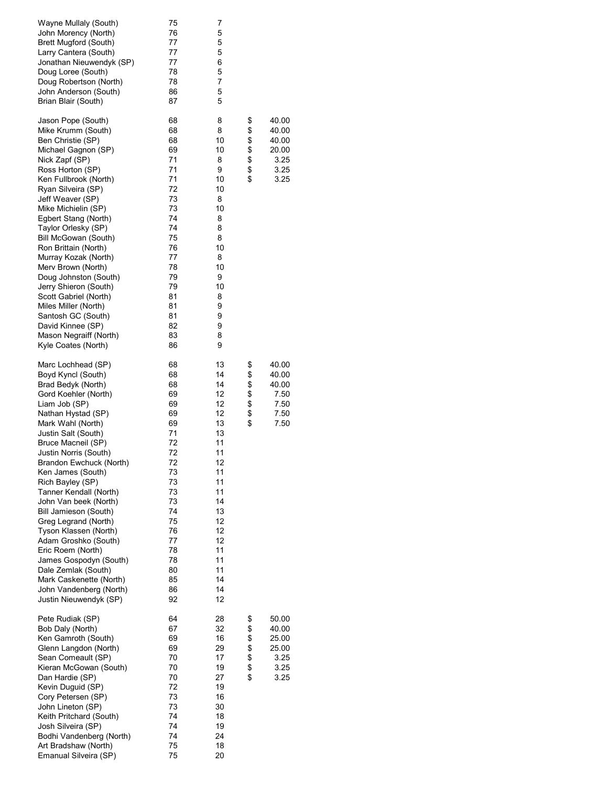| Wayne Mullaly (South)<br>John Morency (North)<br>Brett Mugford (South)<br>Larry Cantera (South)<br>Jonathan Nieuwendyk (SP)<br>Doug Loree (South)<br>Doug Robertson (North)<br>John Anderson (South)<br>Brian Blair (South)                                                                                                                                                                                                                                                                                                                                                                             | 75<br>76<br>77<br>77<br>77<br>78<br>78<br>86<br>87                                                                                                 | 7<br>5<br>5<br>5<br>6<br>5<br>7<br>5<br>5                                                                                                          |                              |                                                          |
|---------------------------------------------------------------------------------------------------------------------------------------------------------------------------------------------------------------------------------------------------------------------------------------------------------------------------------------------------------------------------------------------------------------------------------------------------------------------------------------------------------------------------------------------------------------------------------------------------------|----------------------------------------------------------------------------------------------------------------------------------------------------|----------------------------------------------------------------------------------------------------------------------------------------------------|------------------------------|----------------------------------------------------------|
| Jason Pope (South)<br>Mike Krumm (South)<br>Ben Christie (SP)<br>Michael Gagnon (SP)<br>Nick Zapf (SP)<br>Ross Horton (SP)<br>Ken Fullbrook (North)<br>Ryan Silveira (SP)<br>Jeff Weaver (SP)<br>Mike Michielin (SP)<br>Egbert Stang (North)<br>Taylor Orlesky (SP)<br>Bill McGowan (South)<br>Ron Brittain (North)<br>Murray Kozak (North)<br>Merv Brown (North)<br>Doug Johnston (South)<br>Jerry Shieron (South)<br>Scott Gabriel (North)<br>Miles Miller (North)<br>Santosh GC (South)<br>David Kinnee (SP)<br>Mason Negraiff (North)<br>Kyle Coates (North)                                        | 68<br>68<br>68<br>69<br>71<br>71<br>71<br>72<br>73<br>73<br>74<br>74<br>75<br>76<br>77<br>78<br>79<br>79<br>81<br>81<br>81<br>82<br>83<br>86       | 8<br>8<br>10<br>10<br>8<br>9<br>10<br>10<br>8<br>10<br>8<br>8<br>8<br>10<br>8<br>10<br>9<br>10<br>8<br>9<br>9<br>9<br>8<br>9                       | \$<br>\$<br>\$<br>\$\$<br>\$ | 40.00<br>40.00<br>40.00<br>20.00<br>3.25<br>3.25<br>3.25 |
| Marc Lochhead (SP)<br>Boyd Kyncl (South)<br>Brad Bedyk (North)<br>Gord Koehler (North)<br>Liam Job (SP)<br>Nathan Hystad (SP)<br>Mark Wahl (North)<br>Justin Salt (South)<br>Bruce Macneil (SP)<br>Justin Norris (South)<br>Brandon Ewchuck (North)<br>Ken James (South)<br>Rich Bayley (SP)<br>Tanner Kendall (North)<br>John Van beek (North)<br>Bill Jamieson (South)<br>Greg Legrand (North)<br>Tyson Klassen (North)<br>Adam Groshko (South)<br>Eric Roem (North)<br>James Gospodyn (South)<br>Dale Zemlak (South)<br>Mark Caskenette (North)<br>John Vandenberg (North)<br>Justin Nieuwendyk (SP) | 68<br>68<br>68<br>69<br>69<br>69<br>69<br>71<br>72<br>72<br>72<br>73<br>73<br>73<br>73<br>74<br>75<br>76<br>77<br>78<br>78<br>80<br>85<br>86<br>92 | 13<br>14<br>14<br>12<br>12<br>12<br>13<br>13<br>11<br>11<br>12<br>11<br>11<br>11<br>14<br>13<br>12<br>12<br>12<br>11<br>11<br>11<br>14<br>14<br>12 | \$<br>\$<br>\$<br>\$\$<br>\$ | 40.00<br>40.00<br>40.00<br>7.50<br>7.50<br>7.50<br>7.50  |
| Pete Rudiak (SP)<br>Bob Daly (North)<br>Ken Gamroth (South)<br>Glenn Langdon (North)<br>Sean Comeault (SP)<br>Kieran McGowan (South)<br>Dan Hardie (SP)<br>Kevin Duguid (SP)<br>Cory Petersen (SP)<br>John Lineton (SP)<br>Keith Pritchard (South)<br>Josh Silveira (SP)<br>Bodhi Vandenberg (North)<br>Art Bradshaw (North)<br>Emanual Silveira (SP)                                                                                                                                                                                                                                                   | 64<br>67<br>69<br>69<br>70<br>70<br>70<br>72<br>73<br>73<br>74<br>74<br>74<br>75<br>75                                                             | 28<br>32<br>16<br>29<br>17<br>19<br>27<br>19<br>16<br>30<br>18<br>19<br>24<br>18<br>20                                                             | \$<br>\$<br>\$\$<br>\$<br>\$ | 50.00<br>40.00<br>25.00<br>25.00<br>3.25<br>3.25<br>3.25 |